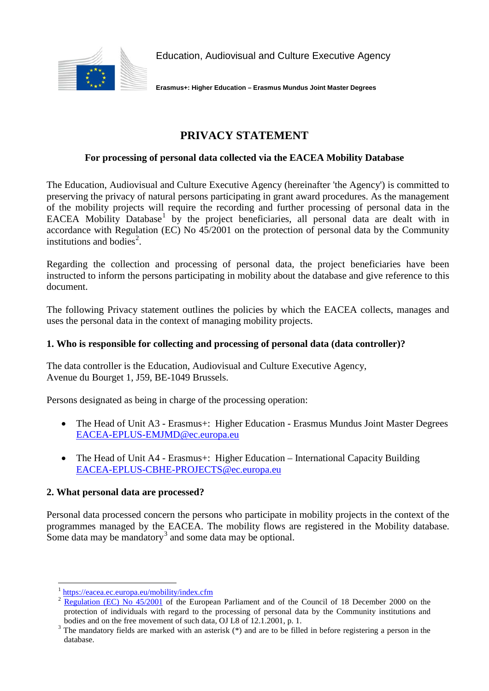

Education, Audiovisual and Culture Executive Agency

**Erasmus+: Higher Education – Erasmus Mundus Joint Master Degrees**

# **PRIVACY STATEMENT**

## **For processing of personal data collected via the EACEA Mobility Database**

The Education, Audiovisual and Culture Executive Agency (hereinafter 'the Agency') is committed to preserving the privacy of natural persons participating in grant award procedures. As the management of the mobility projects will require the recording and further processing of personal data in the EACEA Mobility Database<sup>[1](#page-0-0)</sup> by the project beneficiaries, all personal data are dealt with in accordance with Regulation (EC) No 45/2001 on the protection of personal data by the Community institutions and bodies<sup>[2](#page-0-1)</sup>.

Regarding the collection and processing of personal data, the project beneficiaries have been instructed to inform the persons participating in mobility about the database and give reference to this document.

The following Privacy statement outlines the policies by which the EACEA collects, manages and uses the personal data in the context of managing mobility projects.

### **1. Who is responsible for collecting and processing of personal data (data controller)?**

The data controller is the Education, Audiovisual and Culture Executive Agency, Avenue du Bourget 1, J59, BE-1049 Brussels.

Persons designated as being in charge of the processing operation:

- The Head of Unit A3 Erasmus+: Higher Education Erasmus Mundus Joint Master Degrees [EACEA-EPLUS-EMJMD@ec.europa.eu](mailto:EACEA-EPLUS-EMJMD@ec.europa.eu)
- The Head of Unit A4 Erasmus+: Higher Education International Capacity Building [EACEA-EPLUS-CBHE-PROJECTS@ec.europa.eu](mailto:EACEA-EPLUS-CBHE-PROJECTS@ec.europa.eu)

#### **2. What personal data are processed?**

Personal data processed concern the persons who participate in mobility projects in the context of the programmes managed by the EACEA. The mobility flows are registered in the Mobility database. Some data may be mandatory<sup>[3](#page-0-2)</sup> and some data may be optional.

<span id="page-0-0"></span> $\frac{1 \text{ https://eacea.e.c.europa.eu/mobility/index.cfm}}{P_{\text{c}} \cdot P_{\text{c}} \cdot P_{\text{c}} \cdot P_{\text{c}} \cdot P_{\text{c}} \cdot P_{\text{c}} \cdot P_{\text{c}} \cdot P_{\text{c}} \cdot P_{\text{c}} \cdot P_{\text{c}} \cdot P_{\text{c}} \cdot P_{\text{c}} \cdot P_{\text{c}} \cdot P_{\text{c}} \cdot P_{\text{c}} \cdot P_{\text{c}} \cdot P_{\text{c}} \cdot P_{\text{c}} \cdot P_{\text{c}} \cdot P_{\text{c}} \cdot P_{\text{c}} \cdot P_{\text{$ 

<span id="page-0-1"></span><sup>2</sup> [Regulation \(EC\) No 45/2001](http://eur-lex.europa.eu/LexUriServ/LexUriServ.do?uri=OJ:L:2001:008:0001:0022:EN:PDF) of the European Parliament and of the Council of 18 December 2000 on the protection of individuals with regard to the processing of personal data by the Community institutions and bodies and on the free movement of such data, OJ L8 of 12.1.2001, p. 1.

<span id="page-0-2"></span> $3$  The mandatory fields are marked with an asterisk (\*) and are to be filled in before registering a person in the database.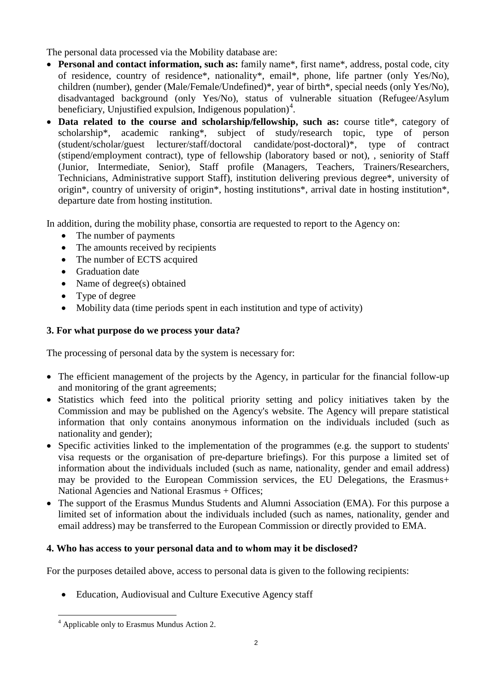The personal data processed via the Mobility database are:

- **Personal and contact information, such as:** family name\*, first name\*, address, postal code, city of residence, country of residence\*, nationality\*, email\*, phone, life partner (only Yes/No), children (number), gender (Male/Female/Undefined)\*, year of birth\*, special needs (only Yes/No), disadvantaged background (only Yes/No), status of vulnerable situation (Refugee/Asylum beneficiary, Unjustified expulsion, Indigenous population)<sup>[4](#page-1-0)</sup>.
- **Data related to the course and scholarship/fellowship, such as:** course title\*, category of scholarship\*, academic ranking\*, subject of study/research topic, type of person (student/scholar/guest lecturer/staff/doctoral candidate/post-doctoral)\*, type of contract (stipend/employment contract), type of fellowship (laboratory based or not), , seniority of Staff (Junior, Intermediate, Senior), Staff profile (Managers, Teachers, Trainers/Researchers, Technicians, Administrative support Staff), institution delivering previous degree\*, university of origin\*, country of university of origin\*, hosting institutions\*, arrival date in hosting institution\*, departure date from hosting institution.

In addition, during the mobility phase, consortia are requested to report to the Agency on:

- The number of payments
- The amounts received by recipients
- The number of ECTS acquired
- Graduation date
- Name of degree(s) obtained
- Type of degree
- Mobility data (time periods spent in each institution and type of activity)

# **3. For what purpose do we process your data?**

The processing of personal data by the system is necessary for:

- The efficient management of the projects by the Agency, in particular for the financial follow-up and monitoring of the grant agreements;
- Statistics which feed into the political priority setting and policy initiatives taken by the Commission and may be published on the Agency's website. The Agency will prepare statistical information that only contains anonymous information on the individuals included (such as nationality and gender);
- Specific activities linked to the implementation of the programmes (e.g. the support to students' visa requests or the organisation of pre-departure briefings). For this purpose a limited set of information about the individuals included (such as name, nationality, gender and email address) may be provided to the European Commission services, the EU Delegations, the Erasmus+ National Agencies and National Erasmus + Offices;
- The support of the Erasmus Mundus Students and Alumni Association (EMA). For this purpose a limited set of information about the individuals included (such as names, nationality, gender and email address) may be transferred to the European Commission or directly provided to EMA.

# **4. Who has access to your personal data and to whom may it be disclosed?**

For the purposes detailed above, access to personal data is given to the following recipients:

• Education, Audiovisual and Culture Executive Agency staff

<span id="page-1-0"></span> <sup>4</sup> Applicable only to Erasmus Mundus Action 2.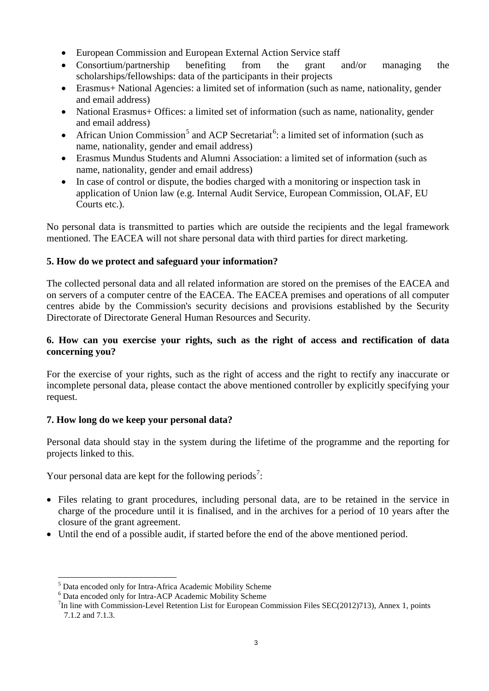- European Commission and European External Action Service staff
- Consortium/partnership benefiting from the grant and/or managing the scholarships/fellowships: data of the participants in their projects
- Erasmus+ National Agencies: a limited set of information (such as name, nationality, gender and email address)
- National Erasmus+ Offices: a limited set of information (such as name, nationality, gender and email address)
- African Union Commission<sup>[5](#page-2-0)</sup> and ACP Secretariat<sup>[6](#page-2-1)</sup>: a limited set of information (such as name, nationality, gender and email address)
- Erasmus Mundus Students and Alumni Association: a limited set of information (such as name, nationality, gender and email address)
- In case of control or dispute, the bodies charged with a monitoring or inspection task in application of Union law (e.g. Internal Audit Service, European Commission, OLAF, EU Courts etc.).

No personal data is transmitted to parties which are outside the recipients and the legal framework mentioned. The EACEA will not share personal data with third parties for direct marketing.

## **5. How do we protect and safeguard your information?**

The collected personal data and all related information are stored on the premises of the EACEA and on servers of a computer centre of the EACEA. The EACEA premises and operations of all computer centres abide by the Commission's security decisions and provisions established by the Security Directorate of Directorate General Human Resources and Security.

### **6. How can you exercise your rights, such as the right of access and rectification of data concerning you?**

For the exercise of your rights, such as the right of access and the right to rectify any inaccurate or incomplete personal data, please contact the above mentioned controller by explicitly specifying your request.

# **7. How long do we keep your personal data?**

Personal data should stay in the system during the lifetime of the programme and the reporting for projects linked to this.

Your personal data are kept for the following periods<sup>[7](#page-2-2)</sup>:

- Files relating to grant procedures, including personal data, are to be retained in the service in charge of the procedure until it is finalised, and in the archives for a period of 10 years after the closure of the grant agreement.
- Until the end of a possible audit, if started before the end of the above mentioned period.

<span id="page-2-1"></span><span id="page-2-0"></span> $5$  Data encoded only for Intra-Africa Academic Mobility Scheme  $6$  Data encoded only for Intra-ACP Academic Mobility Scheme

<span id="page-2-2"></span> ${}^{7}$ In line with Commission-Level Retention List for European Commission Files SEC(2012)713), Annex 1, points 7.1.2 and 7.1.3.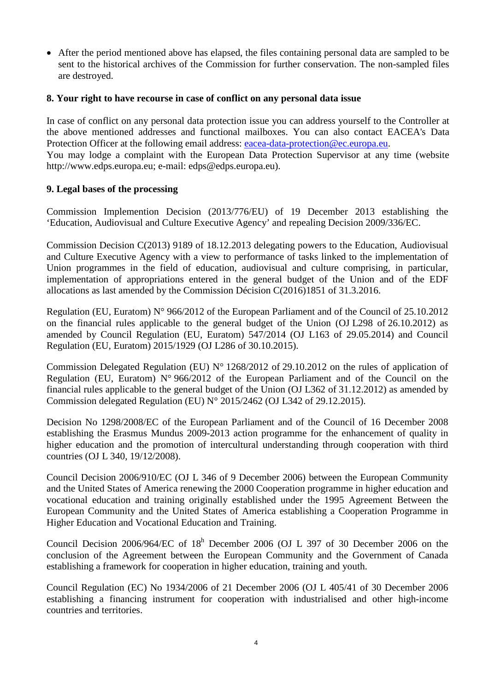• After the period mentioned above has elapsed, the files containing personal data are sampled to be sent to the historical archives of the Commission for further conservation. The non-sampled files are destroyed.

#### **8. Your right to have recourse in case of conflict on any personal data issue**

In case of conflict on any personal data protection issue you can address yourself to the Controller at the above mentioned addresses and functional mailboxes. You can also contact EACEA's Data Protection Officer at the following email address: [eacea-data-protection@ec.europa.eu.](mailto:eacea-data-protection@ec.europa.eu) You may lodge a complaint with the European Data Protection Supervisor at any time (website http://www.edps.europa.eu; e-mail: edps@edps.europa.eu).

#### **9. Legal bases of the processing**

Commission Implemention Decision (2013/776/EU) of 19 December 2013 establishing the 'Education, Audiovisual and Culture Executive Agency' and repealing Decision 2009/336/EC.

Commission Decision C(2013) 9189 of 18.12.2013 delegating powers to the Education, Audiovisual and Culture Executive Agency with a view to performance of tasks linked to the implementation of Union programmes in the field of education, audiovisual and culture comprising, in particular, implementation of appropriations entered in the general budget of the Union and of the EDF allocations as last amended by the Commission Décision C(2016)1851 of 31.3.2016.

Regulation (EU, Euratom) N° 966/2012 of the European Parliament and of the Council of 25.10.2012 on the financial rules applicable to the general budget of the Union (OJ L298 of 26.10.2012) as amended by Council Regulation (EU, Euratom) 547/2014 (OJ L163 of 29.05.2014) and Council Regulation (EU, Euratom) 2015/1929 (OJ L286 of 30.10.2015).

Commission Delegated Regulation (EU) N° 1268/2012 of 29.10.2012 on the rules of application of Regulation (EU, Euratom) N° 966/2012 of the European Parliament and of the Council on the financial rules applicable to the general budget of the Union (OJ L362 of 31.12.2012) as amended by Commission delegated Regulation (EU)  $N^{\circ}$  2015/2462 (OJ L342 of 29.12.2015).

Decision No 1298/2008/EC of the European Parliament and of the Council of 16 December 2008 establishing the Erasmus Mundus 2009-2013 action programme for the enhancement of quality in higher education and the promotion of intercultural understanding through cooperation with third countries (OJ L 340, 19/12/2008).

Council Decision 2006/910/EC (OJ L 346 of 9 December 2006) between the European Community and the United States of America renewing the 2000 Cooperation programme in higher education and vocational education and training originally established under the 1995 Agreement Between the European Community and the United States of America establishing a Cooperation Programme in Higher Education and Vocational Education and Training.

Council Decision 2006/964/EC of  $18<sup>h</sup>$  December 2006 (OJ L 397 of 30 December 2006 on the conclusion of the Agreement between the European Community and the Government of Canada establishing a framework for cooperation in higher education, training and youth.

Council Regulation (EC) No 1934/2006 of 21 December 2006 (OJ L 405/41 of 30 December 2006 establishing a financing instrument for cooperation with industrialised and other high-income countries and territories.